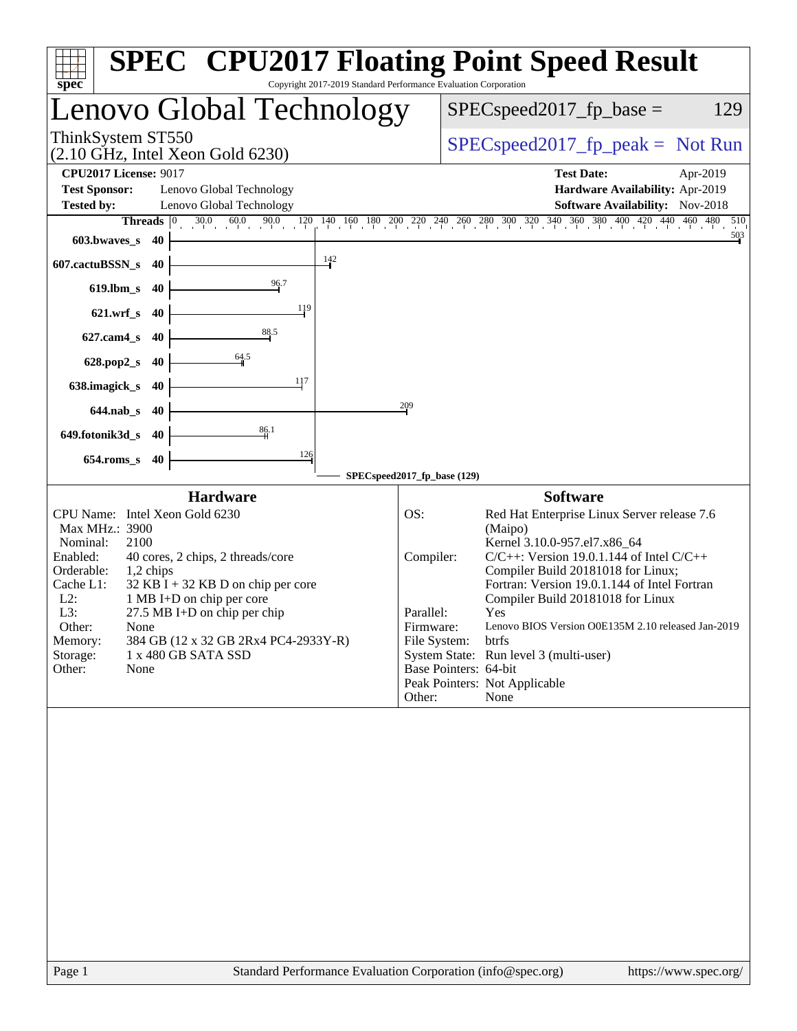| Copyright 2017-2019 Standard Performance Evaluation Corporation<br>$spec^*$                                                                                                                                                                                                                                                                                                                                                        | <b>SPEC<sup>®</sup> CPU2017 Floating Point Speed Result</b>                                                                                                                                                                                                                                                                                                                                                                                                                                                                                     |
|------------------------------------------------------------------------------------------------------------------------------------------------------------------------------------------------------------------------------------------------------------------------------------------------------------------------------------------------------------------------------------------------------------------------------------|-------------------------------------------------------------------------------------------------------------------------------------------------------------------------------------------------------------------------------------------------------------------------------------------------------------------------------------------------------------------------------------------------------------------------------------------------------------------------------------------------------------------------------------------------|
| Lenovo Global Technology                                                                                                                                                                                                                                                                                                                                                                                                           | $SPEC speed2017_fp\_base =$<br>129                                                                                                                                                                                                                                                                                                                                                                                                                                                                                                              |
| ThinkSystem ST550<br>$(2.10 \text{ GHz}, \text{Intel Xeon Gold } 6230)$                                                                                                                                                                                                                                                                                                                                                            | $SPEC speed2017fr peak = Not Run$                                                                                                                                                                                                                                                                                                                                                                                                                                                                                                               |
| <b>CPU2017 License: 9017</b><br><b>Test Sponsor:</b><br>Lenovo Global Technology<br>Lenovo Global Technology<br><b>Tested by:</b>                                                                                                                                                                                                                                                                                                  | <b>Test Date:</b><br>Apr-2019<br>Hardware Availability: Apr-2019<br><b>Software Availability:</b> Nov-2018                                                                                                                                                                                                                                                                                                                                                                                                                                      |
| 60.0<br>90.0<br>$30.0 \t 60$<br>Threads $ 0 $<br>603.bwaves s 40<br>$\frac{142}{ }$<br>607.cactuBSSN_s<br>-40                                                                                                                                                                                                                                                                                                                      | $120 \quad 140 \quad 160 \quad 180 \quad 200 \quad 220 \quad 240 \quad 260 \quad 280 \quad 300 \quad 320 \quad 340 \quad 360 \quad 380 \quad 400 \quad 420 \quad 440 \quad 460 \quad 480$<br>510<br>503                                                                                                                                                                                                                                                                                                                                         |
| 96.7<br>$619$ .lbm_s<br>-40<br>119<br>$621.wrf$ s<br>-40                                                                                                                                                                                                                                                                                                                                                                           |                                                                                                                                                                                                                                                                                                                                                                                                                                                                                                                                                 |
| 88.5<br>$627$ .cam $4$ s<br>40                                                                                                                                                                                                                                                                                                                                                                                                     |                                                                                                                                                                                                                                                                                                                                                                                                                                                                                                                                                 |
| $\frac{64.5}{9}$<br>$628.pop2_s$<br>40<br>117<br>638.imagick_s<br>40                                                                                                                                                                                                                                                                                                                                                               |                                                                                                                                                                                                                                                                                                                                                                                                                                                                                                                                                 |
| $644$ .nab s<br>-40                                                                                                                                                                                                                                                                                                                                                                                                                | 209                                                                                                                                                                                                                                                                                                                                                                                                                                                                                                                                             |
| 86.1<br>649.fotonik3d_s<br>40<br>126<br>$654$ .roms s<br>-40                                                                                                                                                                                                                                                                                                                                                                       | SPECspeed2017_fp_base (129)                                                                                                                                                                                                                                                                                                                                                                                                                                                                                                                     |
| <b>Hardware</b><br>CPU Name: Intel Xeon Gold 6230<br>Max MHz.: 3900<br>Nominal:<br>2100<br>Enabled:<br>40 cores, 2 chips, 2 threads/core<br>Orderable:<br>1,2 chips<br>Cache L1:<br>$32$ KB I + 32 KB D on chip per core<br>$L2$ :<br>1 MB I+D on chip per core<br>L3:<br>$27.5$ MB I+D on chip per chip<br>Other:<br>None<br>384 GB (12 x 32 GB 2Rx4 PC4-2933Y-R)<br>Memory:<br>Storage:<br>1 x 480 GB SATA SSD<br>None<br>Other: | <b>Software</b><br>Red Hat Enterprise Linux Server release 7.6<br>OS:<br>(Maipo)<br>Kernel 3.10.0-957.el7.x86_64<br>$C/C++$ : Version 19.0.1.144 of Intel $C/C++$<br>Compiler:<br>Compiler Build 20181018 for Linux;<br>Fortran: Version 19.0.1.144 of Intel Fortran<br>Compiler Build 20181018 for Linux<br>Parallel:<br>Yes<br>Firmware:<br>Lenovo BIOS Version O0E135M 2.10 released Jan-2019<br>File System:<br>btrfs<br>System State: Run level 3 (multi-user)<br>Base Pointers: 64-bit<br>Peak Pointers: Not Applicable<br>Other:<br>None |
| Page 1                                                                                                                                                                                                                                                                                                                                                                                                                             | Standard Performance Evaluation Corporation (info@spec.org)<br>https://www.spec.org/                                                                                                                                                                                                                                                                                                                                                                                                                                                            |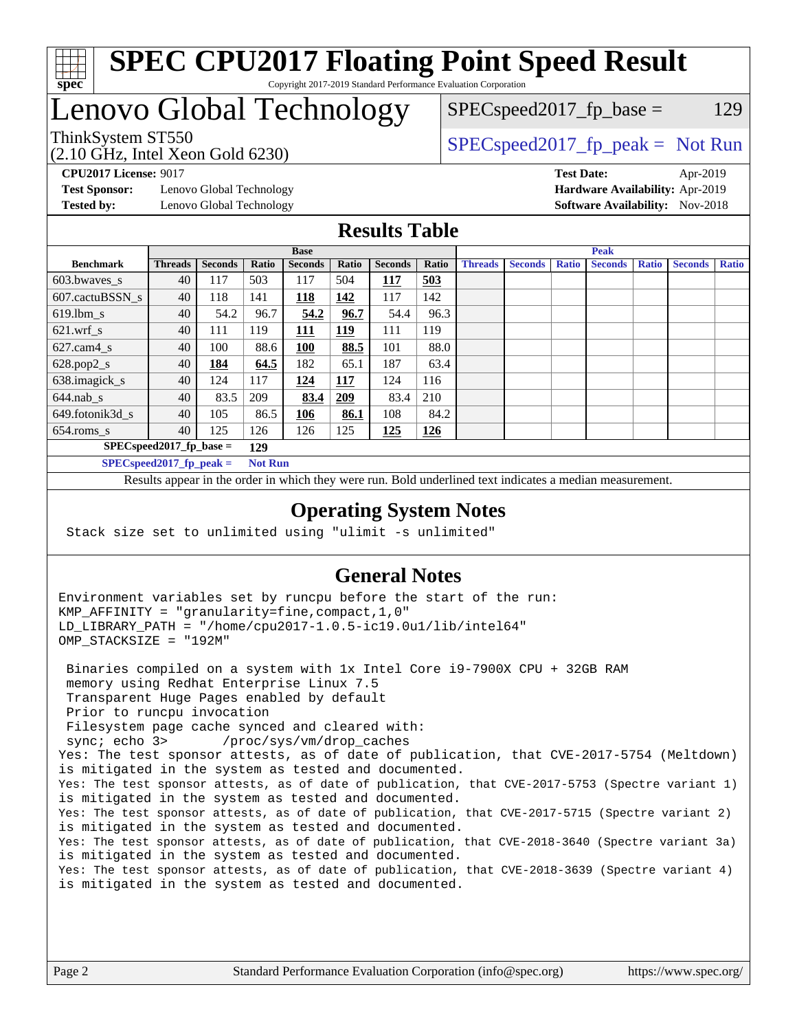

# Lenovo Global Technology

 $SPEC speed2017_fp\_base = 129$ 

(2.10 GHz, Intel Xeon Gold 6230)

ThinkSystem ST550<br>  $SPEC speed2017<sub>fp</sub> peak = Not Run$ 

**[Test Sponsor:](http://www.spec.org/auto/cpu2017/Docs/result-fields.html#TestSponsor)** Lenovo Global Technology **[Hardware Availability:](http://www.spec.org/auto/cpu2017/Docs/result-fields.html#HardwareAvailability)** Apr-2019 **[Tested by:](http://www.spec.org/auto/cpu2017/Docs/result-fields.html#Testedby)** Lenovo Global Technology **[Software Availability:](http://www.spec.org/auto/cpu2017/Docs/result-fields.html#SoftwareAvailability)** Nov-2018

**[CPU2017 License:](http://www.spec.org/auto/cpu2017/Docs/result-fields.html#CPU2017License)** 9017 **[Test Date:](http://www.spec.org/auto/cpu2017/Docs/result-fields.html#TestDate)** Apr-2019

## **[Results Table](http://www.spec.org/auto/cpu2017/Docs/result-fields.html#ResultsTable)**

|                                   | <b>Base</b>    |                |       |                | <b>Peak</b> |                |            |                |                |              |                |              |                |              |
|-----------------------------------|----------------|----------------|-------|----------------|-------------|----------------|------------|----------------|----------------|--------------|----------------|--------------|----------------|--------------|
| <b>Benchmark</b>                  | <b>Threads</b> | <b>Seconds</b> | Ratio | <b>Seconds</b> | Ratio       | <b>Seconds</b> | Ratio      | <b>Threads</b> | <b>Seconds</b> | <b>Ratio</b> | <b>Seconds</b> | <b>Ratio</b> | <b>Seconds</b> | <b>Ratio</b> |
| 603.bwayes s                      | 40             | 117            | 503   | 117            | 504         | 117            | 503        |                |                |              |                |              |                |              |
| 607.cactuBSSN s                   | 40             | 118            | 141   | 118            | 142         | 117            | 142        |                |                |              |                |              |                |              |
| $619.$ lbm_s                      | 40             | 54.2           | 96.7  | 54.2           | 96.7        | 54.4           | 96.3       |                |                |              |                |              |                |              |
| $621.wrf$ s                       | 40             | 111            | 119   | 111            | 119         | 111            | 119        |                |                |              |                |              |                |              |
| $627$ .cam4 s                     | 40             | 100            | 88.6  | 100            | 88.5        | 101            | 88.0       |                |                |              |                |              |                |              |
| $628.pop2_s$                      | 40             | 184            | 64.5  | 182            | 65.1        | 187            | 63.4       |                |                |              |                |              |                |              |
| 638.imagick_s                     | 40             | 124            | 117   | 124            | 117         | 124            | 116        |                |                |              |                |              |                |              |
| $644$ .nab s                      | 40             | 83.5           | 209   | 83.4           | <u>209</u>  | 83.4           | 210        |                |                |              |                |              |                |              |
| 649.fotonik3d s                   | 40             | 105            | 86.5  | 106            | 86.1        | 108            | 84.2       |                |                |              |                |              |                |              |
| $654$ .roms s                     | 40             | 125            | 126   | 126            | 125         | 125            | <u>126</u> |                |                |              |                |              |                |              |
| $SPEC speed2017$ fp base =<br>129 |                |                |       |                |             |                |            |                |                |              |                |              |                |              |
| SPECspeed 2017 fp peak $=$        |                |                |       | <b>Not Run</b> |             |                |            |                |                |              |                |              |                |              |

Results appear in the [order in which they were run.](http://www.spec.org/auto/cpu2017/Docs/result-fields.html#RunOrder) Bold underlined text [indicates a median measurement](http://www.spec.org/auto/cpu2017/Docs/result-fields.html#Median).

### **[Operating System Notes](http://www.spec.org/auto/cpu2017/Docs/result-fields.html#OperatingSystemNotes)**

Stack size set to unlimited using "ulimit -s unlimited"

## **[General Notes](http://www.spec.org/auto/cpu2017/Docs/result-fields.html#GeneralNotes)**

Environment variables set by runcpu before the start of the run: KMP\_AFFINITY = "granularity=fine,compact,1,0" LD\_LIBRARY\_PATH = "/home/cpu2017-1.0.5-ic19.0u1/lib/intel64" OMP\_STACKSIZE = "192M"

 Binaries compiled on a system with 1x Intel Core i9-7900X CPU + 32GB RAM memory using Redhat Enterprise Linux 7.5 Transparent Huge Pages enabled by default Prior to runcpu invocation Filesystem page cache synced and cleared with: sync; echo 3> /proc/sys/vm/drop\_caches Yes: The test sponsor attests, as of date of publication, that CVE-2017-5754 (Meltdown) is mitigated in the system as tested and documented. Yes: The test sponsor attests, as of date of publication, that CVE-2017-5753 (Spectre variant 1) is mitigated in the system as tested and documented. Yes: The test sponsor attests, as of date of publication, that CVE-2017-5715 (Spectre variant 2) is mitigated in the system as tested and documented. Yes: The test sponsor attests, as of date of publication, that CVE-2018-3640 (Spectre variant 3a) is mitigated in the system as tested and documented. Yes: The test sponsor attests, as of date of publication, that CVE-2018-3639 (Spectre variant 4) is mitigated in the system as tested and documented.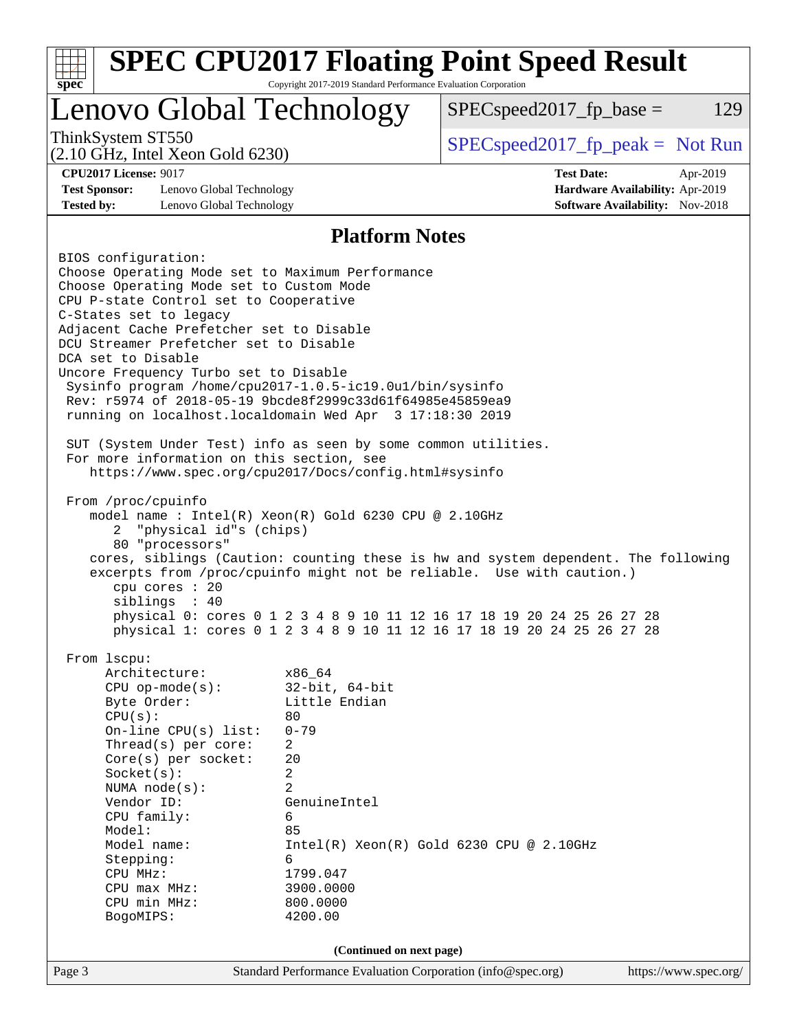| $spec^*$                                                                                                                                                                                                                                                                                                                                                                                                                                                                                                                                                                                                                                         | Copyright 2017-2019 Standard Performance Evaluation Corporation                                                                                                                                  | <b>SPEC CPU2017 Floating Point Speed Result</b>                                                                                                  |                       |     |  |
|--------------------------------------------------------------------------------------------------------------------------------------------------------------------------------------------------------------------------------------------------------------------------------------------------------------------------------------------------------------------------------------------------------------------------------------------------------------------------------------------------------------------------------------------------------------------------------------------------------------------------------------------------|--------------------------------------------------------------------------------------------------------------------------------------------------------------------------------------------------|--------------------------------------------------------------------------------------------------------------------------------------------------|-----------------------|-----|--|
| Lenovo Global Technology                                                                                                                                                                                                                                                                                                                                                                                                                                                                                                                                                                                                                         |                                                                                                                                                                                                  | $SPEC speed2017fp base =$                                                                                                                        |                       | 129 |  |
| ThinkSystem ST550<br>$(2.10 \text{ GHz}, \text{Intel Xeon Gold } 6230)$                                                                                                                                                                                                                                                                                                                                                                                                                                                                                                                                                                          |                                                                                                                                                                                                  | $SPEC speed2017rfp peak = Not Run$                                                                                                               |                       |     |  |
| <b>CPU2017 License: 9017</b><br><b>Test Date:</b><br>Apr-2019<br><b>Test Sponsor:</b><br>Lenovo Global Technology<br>Hardware Availability: Apr-2019<br><b>Tested by:</b><br>Lenovo Global Technology<br><b>Software Availability:</b> Nov-2018                                                                                                                                                                                                                                                                                                                                                                                                  |                                                                                                                                                                                                  |                                                                                                                                                  |                       |     |  |
|                                                                                                                                                                                                                                                                                                                                                                                                                                                                                                                                                                                                                                                  | <b>Platform Notes</b>                                                                                                                                                                            |                                                                                                                                                  |                       |     |  |
| BIOS configuration:<br>Choose Operating Mode set to Maximum Performance<br>Choose Operating Mode set to Custom Mode<br>CPU P-state Control set to Cooperative<br>C-States set to legacy<br>Adjacent Cache Prefetcher set to Disable<br>DCU Streamer Prefetcher set to Disable<br>DCA set to Disable<br>Uncore Frequency Turbo set to Disable<br>Sysinfo program /home/cpu2017-1.0.5-ic19.0ul/bin/sysinfo<br>Rev: r5974 of 2018-05-19 9bcde8f2999c33d61f64985e45859ea9<br>running on localhost.localdomain Wed Apr 3 17:18:30 2019<br>SUT (System Under Test) info as seen by some common utilities.<br>For more information on this section, see |                                                                                                                                                                                                  |                                                                                                                                                  |                       |     |  |
| https://www.spec.org/cpu2017/Docs/config.html#sysinfo<br>From /proc/cpuinfo<br>model name : Intel(R) Xeon(R) Gold 6230 CPU @ 2.10GHz<br>"physical id"s (chips)<br>2.<br>80 "processors"<br>cores, siblings (Caution: counting these is hw and system dependent. The following<br>excerpts from /proc/cpuinfo might not be reliable. Use with caution.)<br>cpu cores : 20<br>siblings : 40                                                                                                                                                                                                                                                        |                                                                                                                                                                                                  | physical 0: cores 0 1 2 3 4 8 9 10 11 12 16 17 18 19 20 24 25 26 27 28<br>physical 1: cores 0 1 2 3 4 8 9 10 11 12 16 17 18 19 20 24 25 26 27 28 |                       |     |  |
| From 1scpu:<br>Architecture:<br>$CPU$ op-mode( $s$ ):<br>Byte Order:<br>CPU(s):<br>On-line $CPU(s)$ list:<br>Thread(s) per core:<br>Core(s) per socket:<br>Socket(s):<br>NUMA $node(s)$ :<br>Vendor ID:<br>CPU family:<br>Model:<br>Model name:<br>Stepping:<br>CPU MHz:<br>CPU max MHz:<br>CPU min MHz:<br>BogoMIPS:                                                                                                                                                                                                                                                                                                                            | x86_64<br>$32$ -bit, $64$ -bit<br>Little Endian<br>80<br>$0 - 79$<br>$\overline{a}$<br>20<br>2<br>$\overline{2}$<br>GenuineIntel<br>6<br>85<br>6<br>1799.047<br>3900.0000<br>800.0000<br>4200.00 | Intel(R) Xeon(R) Gold 6230 CPU @ 2.10GHz                                                                                                         |                       |     |  |
|                                                                                                                                                                                                                                                                                                                                                                                                                                                                                                                                                                                                                                                  | (Continued on next page)                                                                                                                                                                         |                                                                                                                                                  |                       |     |  |
| Page 3                                                                                                                                                                                                                                                                                                                                                                                                                                                                                                                                                                                                                                           | Standard Performance Evaluation Corporation (info@spec.org)                                                                                                                                      |                                                                                                                                                  | https://www.spec.org/ |     |  |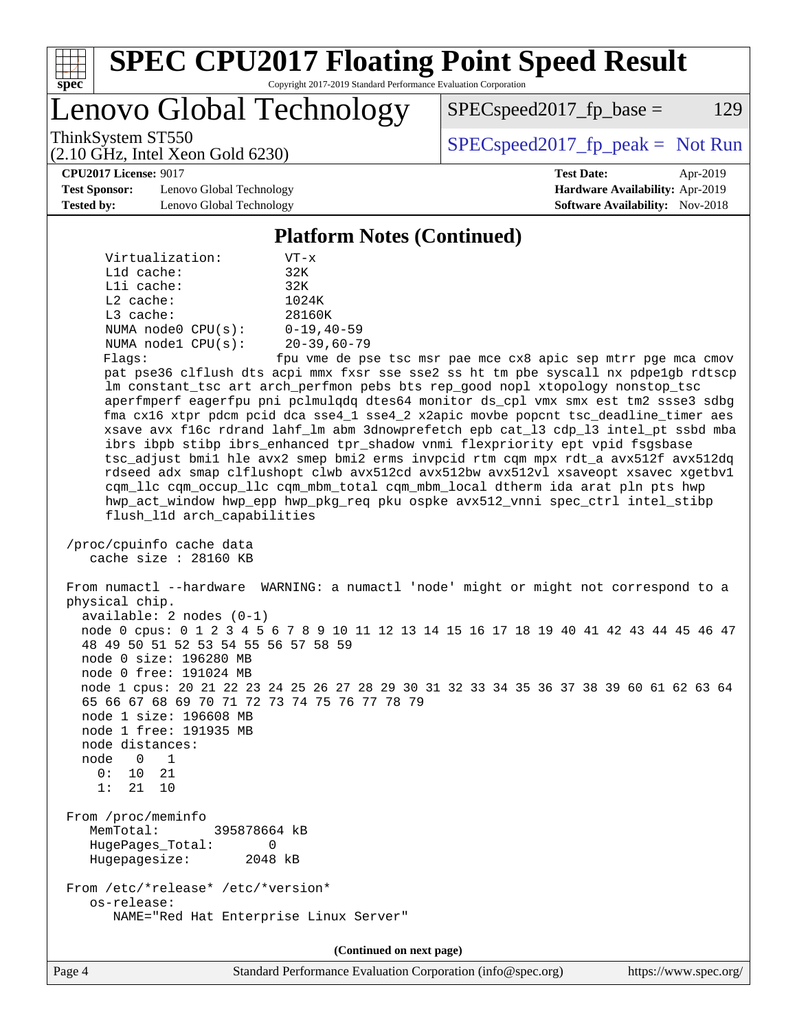| ÷.<br>t<br>ų<br>O |  |  |  |  |  |
|-------------------|--|--|--|--|--|

Lenovo Global Technology

 $SPEC speed2017_fp\_base = 129$ 

(2.10 GHz, Intel Xeon Gold 6230)

ThinkSystem ST550  $SPEC speed2017_f$   $p\_peak = Not Run$ 

**[CPU2017 License:](http://www.spec.org/auto/cpu2017/Docs/result-fields.html#CPU2017License)** 9017 **[Test Date:](http://www.spec.org/auto/cpu2017/Docs/result-fields.html#TestDate)** Apr-2019

**[Test Sponsor:](http://www.spec.org/auto/cpu2017/Docs/result-fields.html#TestSponsor)** Lenovo Global Technology **[Hardware Availability:](http://www.spec.org/auto/cpu2017/Docs/result-fields.html#HardwareAvailability)** Apr-2019 **[Tested by:](http://www.spec.org/auto/cpu2017/Docs/result-fields.html#Testedby)** Lenovo Global Technology **[Software Availability:](http://www.spec.org/auto/cpu2017/Docs/result-fields.html#SoftwareAvailability)** Nov-2018

**[Platform Notes \(Continued\)](http://www.spec.org/auto/cpu2017/Docs/result-fields.html#PlatformNotes)**

| Virtualization:        | $VT - x$          |
|------------------------|-------------------|
| $L1d$ cache:           | 32K               |
| Lli cache:             | 32K               |
| $L2$ cache:            | 1024K             |
| $L3$ cache:            | 28160K            |
| NUMA $node0$ $CPU(s):$ | $0 - 19, 40 - 59$ |
| NUMA nodel CPU(s):     | $20 - 39,60 - 79$ |
| Flares:                | fnu yme de ns     |

Flags: fpu vme de pse tsc msr pae mce cx8 apic sep mtrr pge mca cmov pat pse36 clflush dts acpi mmx fxsr sse sse2 ss ht tm pbe syscall nx pdpe1gb rdtscp lm constant\_tsc art arch\_perfmon pebs bts rep\_good nopl xtopology nonstop\_tsc aperfmperf eagerfpu pni pclmulqdq dtes64 monitor ds\_cpl vmx smx est tm2 ssse3 sdbg fma cx16 xtpr pdcm pcid dca sse4\_1 sse4\_2 x2apic movbe popcnt tsc\_deadline\_timer aes xsave avx f16c rdrand lahf\_lm abm 3dnowprefetch epb cat\_l3 cdp\_l3 intel\_pt ssbd mba ibrs ibpb stibp ibrs\_enhanced tpr\_shadow vnmi flexpriority ept vpid fsgsbase tsc\_adjust bmi1 hle avx2 smep bmi2 erms invpcid rtm cqm mpx rdt\_a avx512f avx512dq rdseed adx smap clflushopt clwb avx512cd avx512bw avx512vl xsaveopt xsavec xgetbv1 cqm\_llc cqm\_occup\_llc cqm\_mbm\_total cqm\_mbm\_local dtherm ida arat pln pts hwp hwp\_act\_window hwp\_epp hwp\_pkg\_req pku ospke avx512\_vnni spec\_ctrl intel\_stibp flush\_l1d arch\_capabilities

```
 /proc/cpuinfo cache data
   cache size : 28160 KB
```
 From numactl --hardware WARNING: a numactl 'node' might or might not correspond to a physical chip. available: 2 nodes (0-1) node 0 cpus: 0 1 2 3 4 5 6 7 8 9 10 11 12 13 14 15 16 17 18 19 40 41 42 43 44 45 46 47 48 49 50 51 52 53 54 55 56 57 58 59 node 0 size: 196280 MB node 0 free: 191024 MB node 1 cpus: 20 21 22 23 24 25 26 27 28 29 30 31 32 33 34 35 36 37 38 39 60 61 62 63 64 65 66 67 68 69 70 71 72 73 74 75 76 77 78 79 node 1 size: 196608 MB node 1 free: 191935 MB node distances: node 0 1 0: 10 21 1: 21 10 From /proc/meminfo MemTotal: 395878664 kB HugePages\_Total: 0 Hugepagesize: 2048 kB From /etc/\*release\* /etc/\*version\* os-release:

NAME="Red Hat Enterprise Linux Server"

**(Continued on next page)**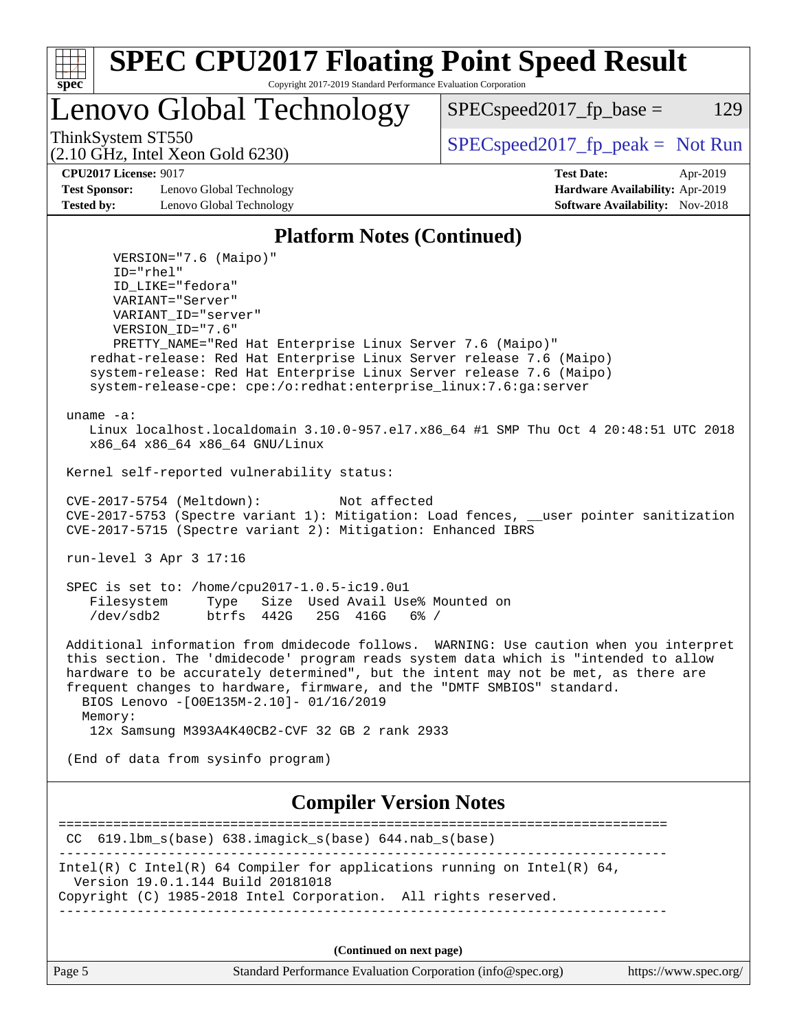| s<br>t.<br>Ш |  |  |  |  |  |
|--------------|--|--|--|--|--|

Lenovo Global Technology

ThinkSystem ST550  $SPEC speed2017_fpcak = Not Run$ 

 $SPEC speed2017_fp\_base = 129$ 

(2.10 GHz, Intel Xeon Gold 6230)

**[Test Sponsor:](http://www.spec.org/auto/cpu2017/Docs/result-fields.html#TestSponsor)** Lenovo Global Technology **[Hardware Availability:](http://www.spec.org/auto/cpu2017/Docs/result-fields.html#HardwareAvailability)** Apr-2019 **[Tested by:](http://www.spec.org/auto/cpu2017/Docs/result-fields.html#Testedby)** Lenovo Global Technology **[Software Availability:](http://www.spec.org/auto/cpu2017/Docs/result-fields.html#SoftwareAvailability)** Nov-2018

**[CPU2017 License:](http://www.spec.org/auto/cpu2017/Docs/result-fields.html#CPU2017License)** 9017 **[Test Date:](http://www.spec.org/auto/cpu2017/Docs/result-fields.html#TestDate)** Apr-2019

### **[Platform Notes \(Continued\)](http://www.spec.org/auto/cpu2017/Docs/result-fields.html#PlatformNotes)**

 VERSION="7.6 (Maipo)" ID="rhel" ID\_LIKE="fedora" VARIANT="Server" VARIANT\_ID="server" VERSION\_ID="7.6" PRETTY\_NAME="Red Hat Enterprise Linux Server 7.6 (Maipo)" redhat-release: Red Hat Enterprise Linux Server release 7.6 (Maipo) system-release: Red Hat Enterprise Linux Server release 7.6 (Maipo) system-release-cpe: cpe:/o:redhat:enterprise\_linux:7.6:ga:server uname -a: Linux localhost.localdomain 3.10.0-957.el7.x86\_64 #1 SMP Thu Oct 4 20:48:51 UTC 2018 x86\_64 x86\_64 x86\_64 GNU/Linux Kernel self-reported vulnerability status: CVE-2017-5754 (Meltdown): Not affected CVE-2017-5753 (Spectre variant 1): Mitigation: Load fences, \_\_user pointer sanitization CVE-2017-5715 (Spectre variant 2): Mitigation: Enhanced IBRS run-level 3 Apr 3 17:16 SPEC is set to: /home/cpu2017-1.0.5-ic19.0u1 Filesystem Type Size Used Avail Use% Mounted on /dev/sdb2 btrfs 442G 25G 416G 6% / Additional information from dmidecode follows. WARNING: Use caution when you interpret this section. The 'dmidecode' program reads system data which is "intended to allow hardware to be accurately determined", but the intent may not be met, as there are frequent changes to hardware, firmware, and the "DMTF SMBIOS" standard. BIOS Lenovo -[O0E135M-2.10]- 01/16/2019 Memory: 12x Samsung M393A4K40CB2-CVF 32 GB 2 rank 2933 (End of data from sysinfo program) **[Compiler Version Notes](http://www.spec.org/auto/cpu2017/Docs/result-fields.html#CompilerVersionNotes)** ============================================================================== CC 619.lbm\_s(base) 638.imagick\_s(base) 644.nab\_s(base) ------------------------------------------------------------------------------ Intel(R) C Intel(R) 64 Compiler for applications running on Intel(R)  $64$ ,

 Version 19.0.1.144 Build 20181018 Copyright (C) 1985-2018 Intel Corporation. All rights reserved.

------------------------------------------------------------------------------

**(Continued on next page)**

| Page 5 | Standard Performance Evaluation Corporation (info@spec.org) | https://www.spec.org/ |
|--------|-------------------------------------------------------------|-----------------------|
|        |                                                             |                       |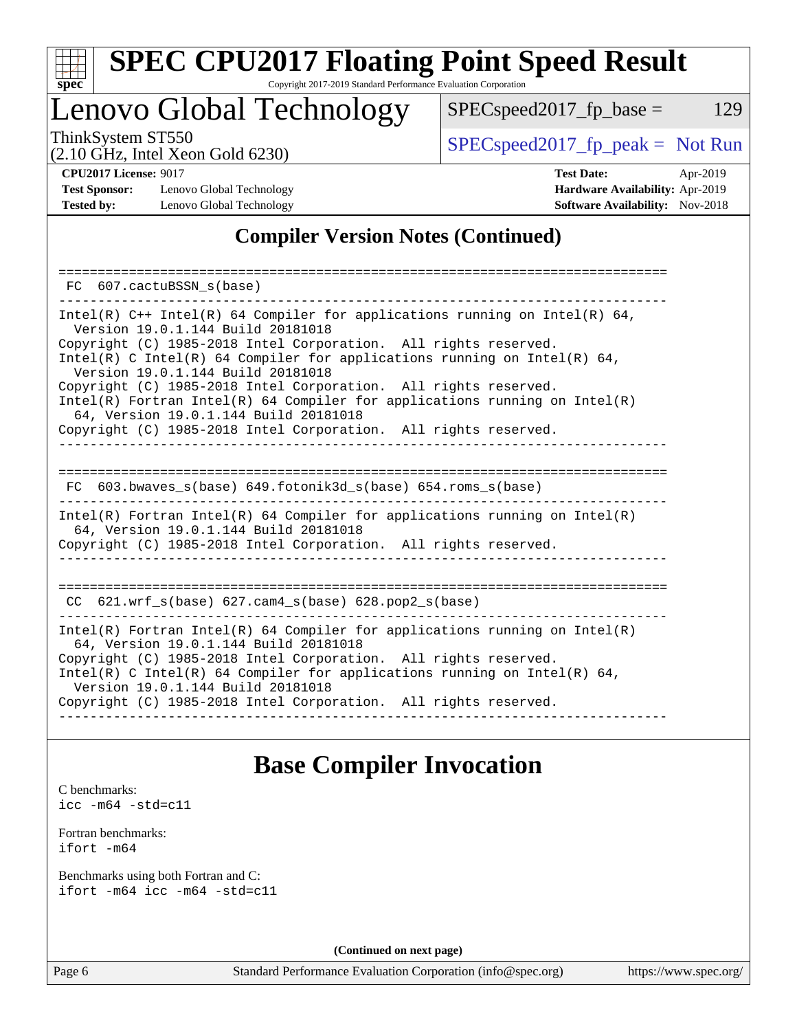

# **[SPEC CPU2017 Floating Point Speed Result](http://www.spec.org/auto/cpu2017/Docs/result-fields.html#SPECCPU2017FloatingPointSpeedResult)**

Copyright 2017-2019 Standard Performance Evaluation Corporation

# Lenovo Global Technology

ThinkSystem ST550<br>  $(2.10 \text{ GHz. Intel Yoon Gold } 6230)$  [SPECspeed2017\\_fp\\_peak =](http://www.spec.org/auto/cpu2017/Docs/result-fields.html#SPECspeed2017fppeak) Not Run

(2.10 GHz, Intel Xeon Gold 6230)

 $SPEC speed2017_fp\_base = 129$ 

**[Test Sponsor:](http://www.spec.org/auto/cpu2017/Docs/result-fields.html#TestSponsor)** Lenovo Global Technology **[Hardware Availability:](http://www.spec.org/auto/cpu2017/Docs/result-fields.html#HardwareAvailability)** Apr-2019 **[Tested by:](http://www.spec.org/auto/cpu2017/Docs/result-fields.html#Testedby)** Lenovo Global Technology **[Software Availability:](http://www.spec.org/auto/cpu2017/Docs/result-fields.html#SoftwareAvailability)** Nov-2018

**[CPU2017 License:](http://www.spec.org/auto/cpu2017/Docs/result-fields.html#CPU2017License)** 9017 **[Test Date:](http://www.spec.org/auto/cpu2017/Docs/result-fields.html#TestDate)** Apr-2019

## **[Compiler Version Notes \(Continued\)](http://www.spec.org/auto/cpu2017/Docs/result-fields.html#CompilerVersionNotes)**

| 607.cactuBSSN_s(base)<br>FC.                                                                                                                                                                                                                                                                                                                                                                                                                                                                                                                                       |
|--------------------------------------------------------------------------------------------------------------------------------------------------------------------------------------------------------------------------------------------------------------------------------------------------------------------------------------------------------------------------------------------------------------------------------------------------------------------------------------------------------------------------------------------------------------------|
| Intel(R) $C++$ Intel(R) 64 Compiler for applications running on Intel(R) 64,<br>Version 19.0.1.144 Build 20181018<br>Copyright (C) 1985-2018 Intel Corporation. All rights reserved.<br>Intel(R) C Intel(R) 64 Compiler for applications running on Intel(R) 64,<br>Version 19.0.1.144 Build 20181018<br>Copyright (C) 1985-2018 Intel Corporation. All rights reserved.<br>Intel(R) Fortran Intel(R) 64 Compiler for applications running on Intel(R)<br>64, Version 19.0.1.144 Build 20181018<br>Copyright (C) 1985-2018 Intel Corporation. All rights reserved. |
| --------------------<br>603.bwaves $s(base)$ 649.fotonik3d $s(base)$ 654.roms $s(base)$<br>FC.                                                                                                                                                                                                                                                                                                                                                                                                                                                                     |
| Intel(R) Fortran Intel(R) 64 Compiler for applications running on Intel(R)<br>64, Version 19.0.1.144 Build 20181018<br>Copyright (C) 1985-2018 Intel Corporation. All rights reserved.                                                                                                                                                                                                                                                                                                                                                                             |
| ------------------------------<br>CC $621.wrf$ s(base) $627.cam4$ s(base) $628.pop2$ s(base)                                                                                                                                                                                                                                                                                                                                                                                                                                                                       |
| Intel(R) Fortran Intel(R) 64 Compiler for applications running on Intel(R)<br>64, Version 19.0.1.144 Build 20181018<br>Copyright (C) 1985-2018 Intel Corporation. All rights reserved.<br>Intel(R) C Intel(R) 64 Compiler for applications running on Intel(R) 64,<br>Version 19.0.1.144 Build 20181018<br>Copyright (C) 1985-2018 Intel Corporation. All rights reserved.                                                                                                                                                                                         |

# **[Base Compiler Invocation](http://www.spec.org/auto/cpu2017/Docs/result-fields.html#BaseCompilerInvocation)**

[C benchmarks](http://www.spec.org/auto/cpu2017/Docs/result-fields.html#Cbenchmarks): [icc -m64 -std=c11](http://www.spec.org/cpu2017/results/res2019q2/cpu2017-20190416-12090.flags.html#user_CCbase_intel_icc_64bit_c11_33ee0cdaae7deeeab2a9725423ba97205ce30f63b9926c2519791662299b76a0318f32ddfffdc46587804de3178b4f9328c46fa7c2b0cd779d7a61945c91cd35)

[Fortran benchmarks](http://www.spec.org/auto/cpu2017/Docs/result-fields.html#Fortranbenchmarks): [ifort -m64](http://www.spec.org/cpu2017/results/res2019q2/cpu2017-20190416-12090.flags.html#user_FCbase_intel_ifort_64bit_24f2bb282fbaeffd6157abe4f878425411749daecae9a33200eee2bee2fe76f3b89351d69a8130dd5949958ce389cf37ff59a95e7a40d588e8d3a57e0c3fd751)

[Benchmarks using both Fortran and C](http://www.spec.org/auto/cpu2017/Docs/result-fields.html#BenchmarksusingbothFortranandC): [ifort -m64](http://www.spec.org/cpu2017/results/res2019q2/cpu2017-20190416-12090.flags.html#user_CC_FCbase_intel_ifort_64bit_24f2bb282fbaeffd6157abe4f878425411749daecae9a33200eee2bee2fe76f3b89351d69a8130dd5949958ce389cf37ff59a95e7a40d588e8d3a57e0c3fd751) [icc -m64 -std=c11](http://www.spec.org/cpu2017/results/res2019q2/cpu2017-20190416-12090.flags.html#user_CC_FCbase_intel_icc_64bit_c11_33ee0cdaae7deeeab2a9725423ba97205ce30f63b9926c2519791662299b76a0318f32ddfffdc46587804de3178b4f9328c46fa7c2b0cd779d7a61945c91cd35)

**(Continued on next page)**

Page 6 Standard Performance Evaluation Corporation [\(info@spec.org\)](mailto:info@spec.org) <https://www.spec.org/>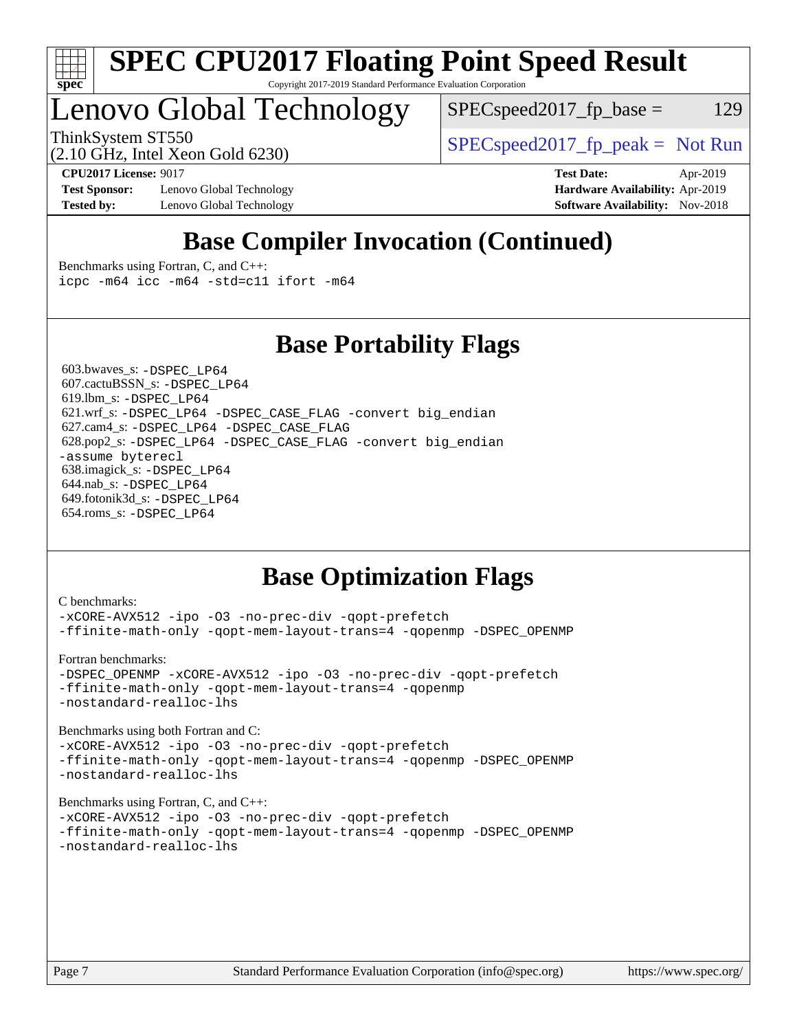

# Lenovo Global Technology

 $SPEC speed2017_fp\_base = 129$ 

ThinkSystem ST550<br>  $SPEC speed2017<sub>fp</sub> peak = Not Run$ 

(2.10 GHz, Intel Xeon Gold 6230)

**[Test Sponsor:](http://www.spec.org/auto/cpu2017/Docs/result-fields.html#TestSponsor)** Lenovo Global Technology **[Hardware Availability:](http://www.spec.org/auto/cpu2017/Docs/result-fields.html#HardwareAvailability)** Apr-2019 **[Tested by:](http://www.spec.org/auto/cpu2017/Docs/result-fields.html#Testedby)** Lenovo Global Technology **[Software Availability:](http://www.spec.org/auto/cpu2017/Docs/result-fields.html#SoftwareAvailability)** Nov-2018

**[CPU2017 License:](http://www.spec.org/auto/cpu2017/Docs/result-fields.html#CPU2017License)** 9017 **[Test Date:](http://www.spec.org/auto/cpu2017/Docs/result-fields.html#TestDate)** Apr-2019

# **[Base Compiler Invocation \(Continued\)](http://www.spec.org/auto/cpu2017/Docs/result-fields.html#BaseCompilerInvocation)**

[Benchmarks using Fortran, C, and C++:](http://www.spec.org/auto/cpu2017/Docs/result-fields.html#BenchmarksusingFortranCandCXX) [icpc -m64](http://www.spec.org/cpu2017/results/res2019q2/cpu2017-20190416-12090.flags.html#user_CC_CXX_FCbase_intel_icpc_64bit_4ecb2543ae3f1412ef961e0650ca070fec7b7afdcd6ed48761b84423119d1bf6bdf5cad15b44d48e7256388bc77273b966e5eb805aefd121eb22e9299b2ec9d9) [icc -m64 -std=c11](http://www.spec.org/cpu2017/results/res2019q2/cpu2017-20190416-12090.flags.html#user_CC_CXX_FCbase_intel_icc_64bit_c11_33ee0cdaae7deeeab2a9725423ba97205ce30f63b9926c2519791662299b76a0318f32ddfffdc46587804de3178b4f9328c46fa7c2b0cd779d7a61945c91cd35) [ifort -m64](http://www.spec.org/cpu2017/results/res2019q2/cpu2017-20190416-12090.flags.html#user_CC_CXX_FCbase_intel_ifort_64bit_24f2bb282fbaeffd6157abe4f878425411749daecae9a33200eee2bee2fe76f3b89351d69a8130dd5949958ce389cf37ff59a95e7a40d588e8d3a57e0c3fd751)

## **[Base Portability Flags](http://www.spec.org/auto/cpu2017/Docs/result-fields.html#BasePortabilityFlags)**

 603.bwaves\_s: [-DSPEC\\_LP64](http://www.spec.org/cpu2017/results/res2019q2/cpu2017-20190416-12090.flags.html#suite_basePORTABILITY603_bwaves_s_DSPEC_LP64) 607.cactuBSSN\_s: [-DSPEC\\_LP64](http://www.spec.org/cpu2017/results/res2019q2/cpu2017-20190416-12090.flags.html#suite_basePORTABILITY607_cactuBSSN_s_DSPEC_LP64) 619.lbm\_s: [-DSPEC\\_LP64](http://www.spec.org/cpu2017/results/res2019q2/cpu2017-20190416-12090.flags.html#suite_basePORTABILITY619_lbm_s_DSPEC_LP64) 621.wrf\_s: [-DSPEC\\_LP64](http://www.spec.org/cpu2017/results/res2019q2/cpu2017-20190416-12090.flags.html#suite_basePORTABILITY621_wrf_s_DSPEC_LP64) [-DSPEC\\_CASE\\_FLAG](http://www.spec.org/cpu2017/results/res2019q2/cpu2017-20190416-12090.flags.html#b621.wrf_s_baseCPORTABILITY_DSPEC_CASE_FLAG) [-convert big\\_endian](http://www.spec.org/cpu2017/results/res2019q2/cpu2017-20190416-12090.flags.html#user_baseFPORTABILITY621_wrf_s_convert_big_endian_c3194028bc08c63ac5d04de18c48ce6d347e4e562e8892b8bdbdc0214820426deb8554edfa529a3fb25a586e65a3d812c835984020483e7e73212c4d31a38223) 627.cam4\_s: [-DSPEC\\_LP64](http://www.spec.org/cpu2017/results/res2019q2/cpu2017-20190416-12090.flags.html#suite_basePORTABILITY627_cam4_s_DSPEC_LP64) [-DSPEC\\_CASE\\_FLAG](http://www.spec.org/cpu2017/results/res2019q2/cpu2017-20190416-12090.flags.html#b627.cam4_s_baseCPORTABILITY_DSPEC_CASE_FLAG) 628.pop2\_s: [-DSPEC\\_LP64](http://www.spec.org/cpu2017/results/res2019q2/cpu2017-20190416-12090.flags.html#suite_basePORTABILITY628_pop2_s_DSPEC_LP64) [-DSPEC\\_CASE\\_FLAG](http://www.spec.org/cpu2017/results/res2019q2/cpu2017-20190416-12090.flags.html#b628.pop2_s_baseCPORTABILITY_DSPEC_CASE_FLAG) [-convert big\\_endian](http://www.spec.org/cpu2017/results/res2019q2/cpu2017-20190416-12090.flags.html#user_baseFPORTABILITY628_pop2_s_convert_big_endian_c3194028bc08c63ac5d04de18c48ce6d347e4e562e8892b8bdbdc0214820426deb8554edfa529a3fb25a586e65a3d812c835984020483e7e73212c4d31a38223) [-assume byterecl](http://www.spec.org/cpu2017/results/res2019q2/cpu2017-20190416-12090.flags.html#user_baseFPORTABILITY628_pop2_s_assume_byterecl_7e47d18b9513cf18525430bbf0f2177aa9bf368bc7a059c09b2c06a34b53bd3447c950d3f8d6c70e3faf3a05c8557d66a5798b567902e8849adc142926523472) 638.imagick\_s: [-DSPEC\\_LP64](http://www.spec.org/cpu2017/results/res2019q2/cpu2017-20190416-12090.flags.html#suite_basePORTABILITY638_imagick_s_DSPEC_LP64) 644.nab\_s: [-DSPEC\\_LP64](http://www.spec.org/cpu2017/results/res2019q2/cpu2017-20190416-12090.flags.html#suite_basePORTABILITY644_nab_s_DSPEC_LP64) 649.fotonik3d\_s: [-DSPEC\\_LP64](http://www.spec.org/cpu2017/results/res2019q2/cpu2017-20190416-12090.flags.html#suite_basePORTABILITY649_fotonik3d_s_DSPEC_LP64) 654.roms\_s: [-DSPEC\\_LP64](http://www.spec.org/cpu2017/results/res2019q2/cpu2017-20190416-12090.flags.html#suite_basePORTABILITY654_roms_s_DSPEC_LP64)

# **[Base Optimization Flags](http://www.spec.org/auto/cpu2017/Docs/result-fields.html#BaseOptimizationFlags)**

```
C benchmarks: 
-xCORE-AVX512 -ipo -O3 -no-prec-div -qopt-prefetch
-ffinite-math-only -qopt-mem-layout-trans=4 -qopenmp -DSPEC_OPENMP
Fortran benchmarks: 
-DSPEC_OPENMP -xCORE-AVX512 -ipo -O3 -no-prec-div -qopt-prefetch
-ffinite-math-only -qopt-mem-layout-trans=4 -qopenmp
-nostandard-realloc-lhs
Benchmarks using both Fortran and C: 
-xCORE-AVX512 -ipo -O3 -no-prec-div -qopt-prefetch
-ffinite-math-only -qopt-mem-layout-trans=4 -qopenmp -DSPEC_OPENMP
-nostandard-realloc-lhs
Benchmarks using Fortran, C, and C++: 
-xCORE-AVX512 -ipo -O3 -no-prec-div -qopt-prefetch
-ffinite-math-only -qopt-mem-layout-trans=4 -qopenmp -DSPEC_OPENMP
-nostandard-realloc-lhs
```